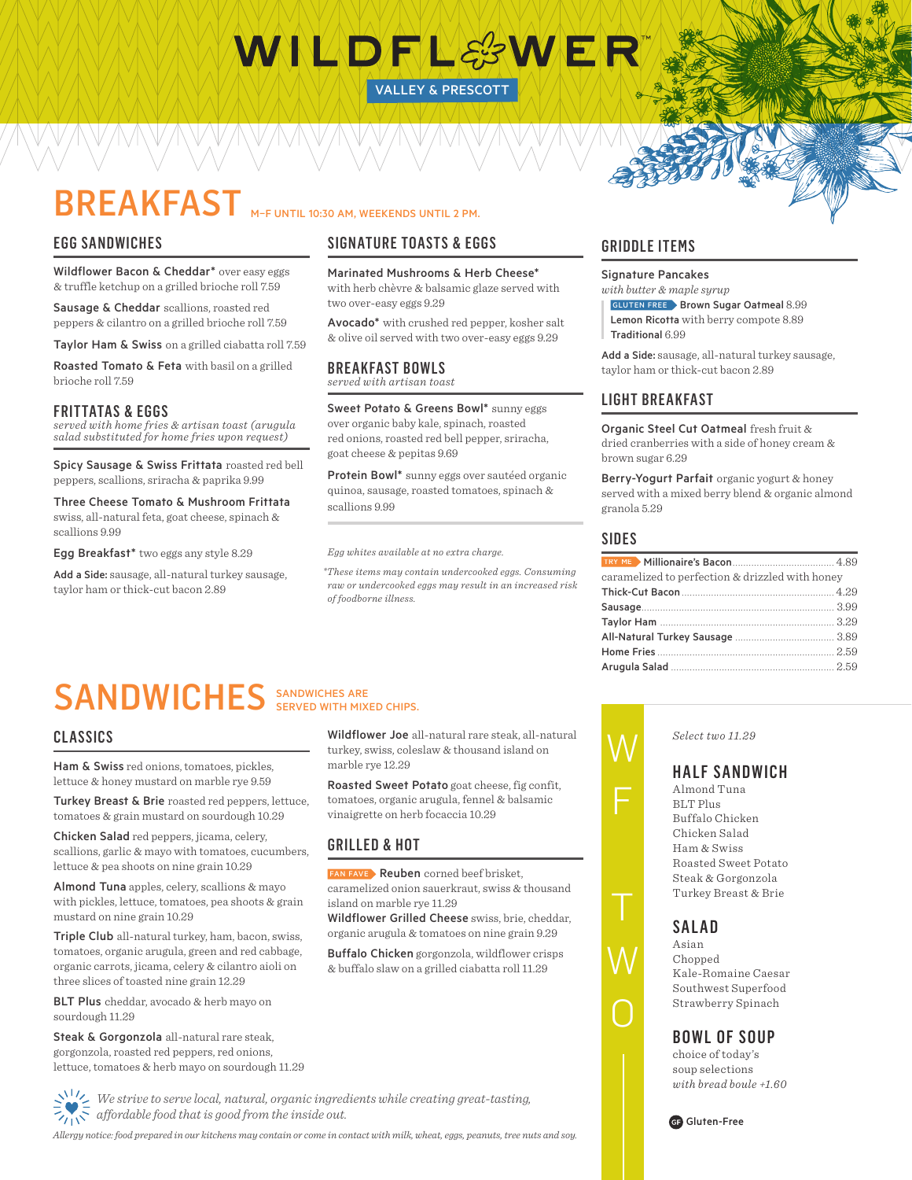# WILDFL&WER

VALLEY & PRESCOTT

## BREAKFAST M-F UNTIL 10:30 AM, WEEKENDS UNTIL 2 PM.

## EGG SANDWICHES

Wildflower Bacon & Cheddar\* over easy eggs & truffle ketchup on a grilled brioche roll 7.59

Sausage & Cheddar scallions, roasted red peppers & cilantro on a grilled brioche roll 7.59

Taylor Ham & Swiss on a grilled ciabatta roll 7.59

Roasted Tomato & Feta with basil on a grilled brioche roll 7.59

## FRITTATAS & EGGS

*served with home fries & artisan toast (arugula salad substituted for home fries upon request)*

Spicy Sausage & Swiss Frittata roasted red bell peppers, scallions, sriracha & paprika 9.99

Three Cheese Tomato & Mushroom Frittata swiss, all-natural feta, goat cheese, spinach & scallions 9.99

Egg Breakfast\* two eggs any style 8.29

Add a Side: sausage, all-natural turkey sausage, taylor ham or thick-cut bacon 2.89

## SIGNATURE TOASTS & EGGS

Marinated Mushrooms & Herb Cheese\* with herb chèvre & balsamic glaze served with two over-easy eggs 9.29

Avocado<sup>\*</sup> with crushed red pepper, kosher salt & olive oil served with two over-easy eggs 9.29

#### BREAKFAST BOWLS *served with artisan toast*

Sweet Potato & Greens Bowl\* sunny eggs over organic baby kale, spinach, roasted red onions, roasted red bell pepper, sriracha, goat cheese & pepitas 9.69

Protein Bowl\* sunny eggs over sautéed organic quinoa, sausage, roasted tomatoes, spinach & scallions 9.99

*Egg whites available at no extra charge.*

marble rye 12.29

GRILLED & HOT

island on marble rye 11.29

 *\*These items may contain undercooked eggs. Consuming raw or undercooked eggs may result in an increased risk of foodborne illness.*

Wildflower Joe all-natural rare steak, all-natural turkey, swiss, coleslaw & thousand island on

Roasted Sweet Potato goat cheese, fig confit, tomatoes, organic arugula, fennel & balsamic

Wildflower Grilled Cheese swiss, brie, cheddar, organic arugula & tomatoes on nine grain 9.29 Buffalo Chicken gorgonzola, wildflower crisps & buffalo slaw on a grilled ciabatta roll 11.29

vinaigrette on herb focaccia 10.29

FAN FAVE Reuben corned beef brisket, caramelized onion sauerkraut, swiss & thousand

## GRIDDLE ITEMS

Signature Pancakes *with butter & maple syrup*

**GLUTEN FREE** Brown Sugar Oatmeal 8.99 Lemon Ricotta with berry compote 8.89 Traditional 6.99

Add a Side: sausage, all-natural turkey sausage, taylor ham or thick-cut bacon 2.89

## LIGHT BREAKFAST

Organic Steel Cut Oatmeal fresh fruit & dried cranberries with a side of honey cream & brown sugar 6.29

Berry-Yogurt Parfait organic yogurt & honey served with a mixed berry blend & organic almond granola 5.29

## SIDES

| caramelized to perfection & drizzled with honey |  |  |
|-------------------------------------------------|--|--|
|                                                 |  |  |
|                                                 |  |  |
|                                                 |  |  |
|                                                 |  |  |
|                                                 |  |  |
|                                                 |  |  |
|                                                 |  |  |

## SANDWICHES SANDWICHES ARE SERVED WITH MIXED CHIPS.

## CLASSICS

Ham & Swiss red onions, tomatoes, pickles, lettuce & honey mustard on marble rye 9.59

Turkey Breast & Brie roasted red peppers, lettuce, tomatoes & grain mustard on sourdough 10.29

Chicken Salad red peppers, jicama, celery, scallions, garlic & mayo with tomatoes, cucumbers, lettuce & pea shoots on nine grain 10.29

Almond Tuna apples, celery, scallions & mayo with pickles, lettuce, tomatoes, pea shoots & grain mustard on nine grain 10.29

Triple Club all-natural turkey, ham, bacon, swiss, tomatoes, organic arugula, green and red cabbage, organic carrots, jicama, celery & cilantro aioli on three slices of toasted nine grain 12.29

BLT Plus cheddar, avocado & herb mayo on sourdough 11.29

Steak & Gorgonzola all-natural rare steak, gorgonzola, roasted red peppers, red onions, lettuce, tomatoes & herb mayo on sourdough 11.29

*We strive to serve local, natural, organic ingredients while creating great-tasting,*   $\mathcal{L}_{\text{UV}}$ <sup>a</sup> affordable food that is good from the inside out.

*Allergy notice: food prepared in our kitchens may contain or come in contact with milk, wheat, eggs, peanuts, tree nuts and soy.*



## HALF SANDWICH

*Select two 11.29*

Almond Tuna BLT Plus Buffalo Chicken Chicken Salad Ham & Swiss Roasted Sweet Potato Steak & Gorgonzola Turkey Breast & Brie





## BOWL OF SOUP

choice of today's soup selections *with bread boule +1.60*





W

## F